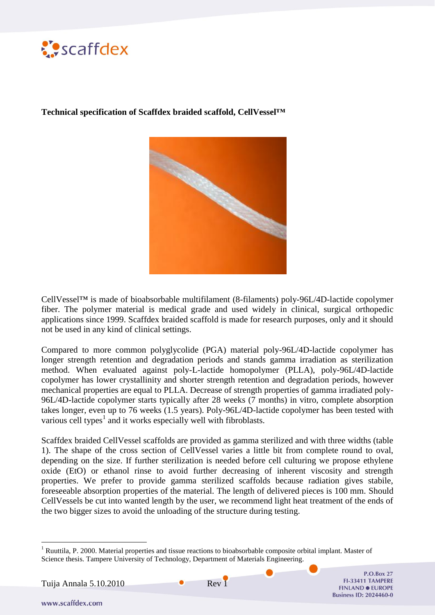

**Technical specification of Scaffdex braided scaffold, CellVessel™**



CellVessel™ is made of bioabsorbable multifilament (8-filaments) poly-96L/4D-lactide copolymer fiber. The polymer material is medical grade and used widely in clinical, surgical orthopedic applications since 1999. Scaffdex braided scaffold is made for research purposes, only and it should not be used in any kind of clinical settings.

Compared to more common polyglycolide (PGA) material poly-96L/4D-lactide copolymer has longer strength retention and degradation periods and stands gamma irradiation as sterilization method. When evaluated against poly-L-lactide homopolymer (PLLA), poly-96L/4D-lactide copolymer has lower crystallinity and shorter strength retention and degradation periods, however mechanical properties are equal to PLLA. Decrease of strength properties of gamma irradiated poly-96L/4D-lactide copolymer starts typically after 28 weeks (7 months) in vitro, complete absorption takes longer, even up to 76 weeks (1.5 years). Poly-96L/4D-lactide copolymer has been tested with various cell types $<sup>1</sup>$  and it works especially well with fibroblasts.</sup>

Scaffdex braided CellVessel scaffolds are provided as gamma sterilized and with three widths (table 1). The shape of the cross section of CellVessel varies a little bit from complete round to oval, depending on the size. If further sterilization is needed before cell culturing we propose ethylene oxide (EtO) or ethanol rinse to avoid further decreasing of inherent viscosity and strength properties. We prefer to provide gamma sterilized scaffolds because radiation gives stabile, foreseeable absorption properties of the material. The length of delivered pieces is 100 mm. Should CellVessels be cut into wanted length by the user, we recommend light heat treatment of the ends of the two bigger sizes to avoid the unloading of the structure during testing.

Tuija Annala 5.10.2010 Rev 1

**P.O.Box 27** FI-33411 TAMPERE **FINLAND · EUROPE Business ID: 2024460-0** 

www.scaffdex.com

<u>.</u>

<sup>&</sup>lt;sup>1</sup> Ruuttila, P. 2000. Material properties and tissue reactions to bioabsorbable composite orbital implant. Master of Science thesis. Tampere University of Technology, Department of Materials Engineering.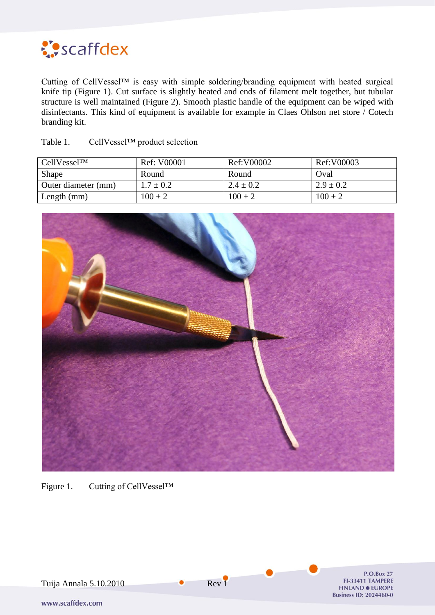

Cutting of CellVessel™ is easy with simple soldering/branding equipment with heated surgical knife tip (Figure 1). Cut surface is slightly heated and ends of filament melt together, but tubular structure is well maintained (Figure 2). Smooth plastic handle of the equipment can be wiped with disinfectants. This kind of equipment is available for example in Claes Ohlson net store / Cotech branding kit.

| $CellVessel^{TM}$   | Ref: V00001   | Ref:V00002    | Ref:V00003    |
|---------------------|---------------|---------------|---------------|
| Shape               | Round         | Round         | Oval          |
| Outer diameter (mm) | $1.7 \pm 0.2$ | $2.4 \pm 0.2$ | $2.9 \pm 0.2$ |
| Length $(mm)$       | $100 \pm 2$   | $100 \pm 2$   | $100 \pm 2$   |

Table 1. CellVessel™ product selection



Figure 1. Cutting of CellVessel™

**P.O.Box 27** Tuija Annala 5.10.2010 Rev 1 FI-33411 TAMPERE **FINLAND · EUROPE Business ID: 2024460-0** www.scaffdex.com